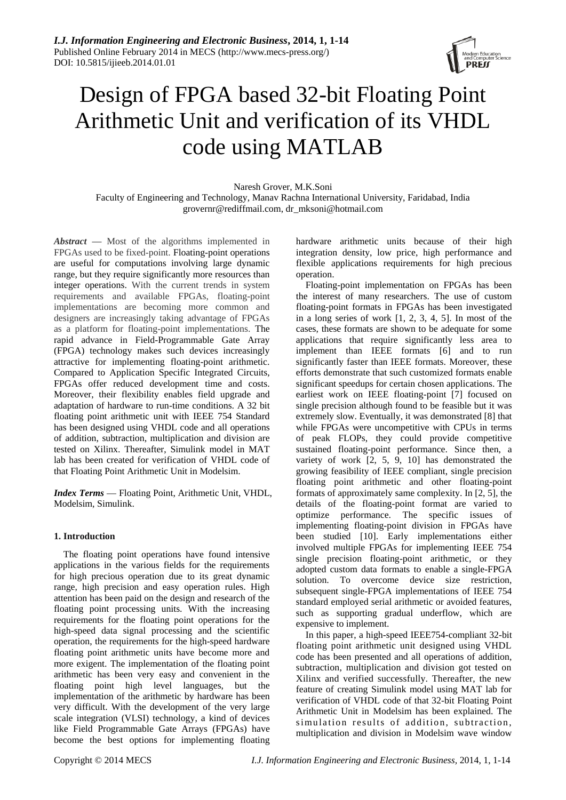

# Design of FPGA based 32-bit Floating Point Arithmetic Unit and verification of its VHDL code using MATLAB

Naresh Grover, M.K.Soni Faculty of Engineering and Technology, Manav Rachna International University, Faridabad, India [grovernr@rediffmail.com,](mailto:grovernr@rediffmail.com) dr\_mksoni@hotmail.com

*Abstract —* Most of the algorithms implemented in FPGAs used to be fixed-point. Floating-point operations are useful for computations involving large dynamic range, but they require significantly more resources than integer operations. With the current trends in system requirements and available FPGAs, floating-point implementations are becoming more common and designers are increasingly taking advantage of FPGAs as a platform for floating-point implementations. The rapid advance in Field-Programmable Gate Array (FPGA) technology makes such devices increasingly attractive for implementing floating-point arithmetic. Compared to Application Specific Integrated Circuits, FPGAs offer reduced development time and costs. Moreover, their flexibility enables field upgrade and adaptation of hardware to run-time conditions. A 32 bit floating point arithmetic unit with IEEE 754 Standard has been designed using VHDL code and all operations of addition, subtraction, multiplication and division are tested on Xilinx. Thereafter, Simulink model in MAT lab has been created for verification of VHDL code of that Floating Point Arithmetic Unit in Modelsim.

*Index Terms* **—** Floating Point, Arithmetic Unit, VHDL, Modelsim, Simulink.

# **1. Introduction**

The floating point operations have found intensive applications in the various fields for the requirements for high precious operation due to its great dynamic range, high precision and easy operation rules. High attention has been paid on the design and research of the floating point processing units. With the increasing requirements for the floating point operations for the high-speed data signal processing and the scientific operation, the requirements for the high-speed hardware floating point arithmetic units have become more and more exigent. The implementation of the floating point arithmetic has been very easy and convenient in the floating point high level languages, but the implementation of the arithmetic by hardware has been very difficult. With the development of the very large scale integration (VLSI) technology, a kind of devices like Field Programmable Gate Arrays (FPGAs) have become the best options for implementing floating hardware arithmetic units because of their high integration density, low price, high performance and flexible applications requirements for high precious operation.

Floating-point implementation on FPGAs has been the interest of many researchers. The use of custom floating-point formats in FPGAs has been investigated in a long series of work [1, 2, 3, 4, 5]. In most of the cases, these formats are shown to be adequate for some applications that require significantly less area to implement than IEEE formats [6] and to run significantly faster than IEEE formats. Moreover, these efforts demonstrate that such customized formats enable significant speedups for certain chosen applications. The earliest work on IEEE floating-point [7] focused on single precision although found to be feasible but it was extremely slow. Eventually, it was demonstrated [8] that while FPGAs were uncompetitive with CPUs in terms of peak FLOPs, they could provide competitive sustained floating-point performance. Since then, a variety of work [2, 5, 9, 10] has demonstrated the growing feasibility of IEEE compliant, single precision floating point arithmetic and other floating-point formats of approximately same complexity. In [2, 5], the details of the floating-point format are varied to optimize performance. The specific issues of implementing floating-point division in FPGAs have been studied [10]. Early implementations either involved multiple FPGAs for implementing IEEE 754 single precision floating-point arithmetic, or they adopted custom data formats to enable a single-FPGA solution. To overcome device size restriction, subsequent single-FPGA implementations of IEEE 754 standard employed serial arithmetic or avoided features, such as supporting gradual underflow, which are expensive to implement.

In this paper, a high-speed IEEE754-compliant 32-bit floating point arithmetic unit designed using VHDL code has been presented and all operations of addition, subtraction, multiplication and division got tested on Xilinx and verified successfully. Thereafter, the new feature of creating Simulink model using MAT lab for verification of VHDL code of that 32-bit Floating Point Arithmetic Unit in Modelsim has been explained. The simulation results of addition, subtraction, multiplication and division in Modelsim wave window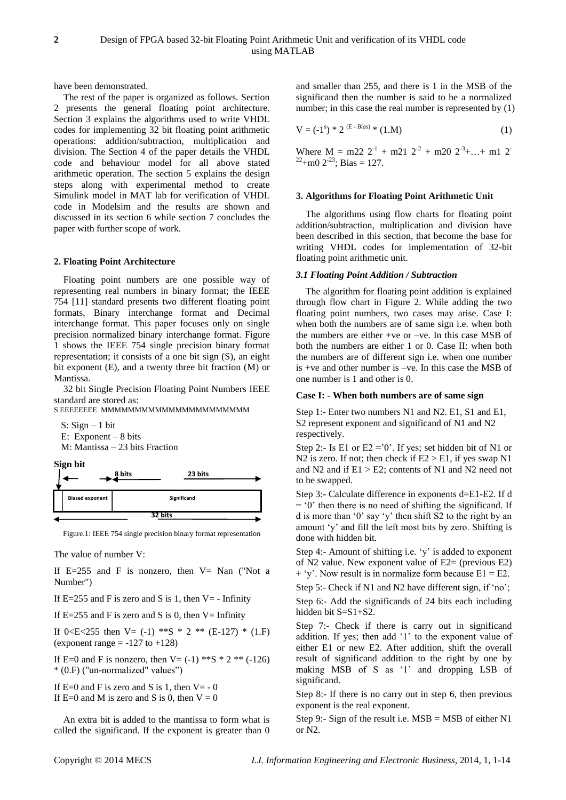have been demonstrated.

The rest of the paper is organized as follows. Section 2 presents the general floating point architecture. Section 3 explains the algorithms used to write VHDL codes for implementing 32 bit floating point arithmetic operations: addition/subtraction, multiplication and division. The Section 4 of the paper details the VHDL code and behaviour model for all above stated arithmetic operation. The section 5 explains the design steps along with experimental method to create Simulink model in MAT lab for verification of VHDL code in Modelsim and the results are shown and discussed in its section 6 while section 7 concludes the paper with further scope of work.

## **2. Floating Point Architecture**

Floating point numbers are one possible way of representing real numbers in binary format; the IEEE 754 [11] standard presents two different floating point formats, Binary interchange format and Decimal interchange format. This paper focuses only on single precision normalized binary interchange format. Figure 1 shows the IEEE 754 single precision binary format representation; it consists of a one bit sign (S), an eight bit exponent (E), and a twenty three bit fraction (M) or Mantissa.

32 bit Single Precision Floating Point Numbers IEEE standard are stored as:

S EEEEEEEE MMMMMMMMMMMMMMMMMMMM

S:  $Sign - 1 bit$  E: Exponent – 8 bits M: Mantissa – 23 bits Fraction



Figure.1: IEEE 754 single precision binary format representation

The value of number V:

If  $E=255$  and F is nonzero, then  $V=$  Nan ("Not a Number")

If  $E=255$  and F is zero and S is 1, then V = - Infinity

If  $E=255$  and F is zero and S is 0, then  $V=$  Infinity

If 0<E<255 then V=  $(-1)$  \*\*S \* 2 \*\*  $(E-127)$  \*  $(1,F)$ (exponent range  $= -127$  to  $+128$ )

If E=0 and F is nonzero, then V=  $(-1)$  \*\*S \* 2 \*\*  $(-126)$ \* (0.F) ("un-normalized" values")

If  $E=0$  and F is zero and S is 1, then  $V=-0$ If  $E=0$  and M is zero and S is 0, then  $V=0$ 

An extra bit is added to the mantissa to form what is called the significand. If the exponent is greater than 0 and smaller than 255, and there is 1 in the MSB of the significand then the number is said to be a normalized number; in this case the real number is represented by  $(1)$ 

$$
V = (-1s) * 2(E - Bias) * (1.M)
$$
 (1)

Where  $M = m22 \t2^{-1} + m21 \t2^{-2} + m20 \t2^{-3} + ... + m1 \t2^{-1}$  $22+$ m0  $2^{-23}$ ; Bias = 127.

#### **3. Algorithms for Floating Point Arithmetic Unit**

The algorithms using flow charts for floating point addition/subtraction, multiplication and division have been described in this section, that become the base for writing VHDL codes for implementation of 32-bit floating point arithmetic unit.

## *3.1 Floating Point Addition / Subtraction*

The algorithm for floating point addition is explained through flow chart in Figure 2. While adding the two floating point numbers, two cases may arise. Case I: when both the numbers are of same sign i.e. when both the numbers are either +ve or –ve. In this case MSB of both the numbers are either 1 or 0. Case II: when both the numbers are of different sign i.e. when one number is +ve and other number is –ve. In this case the MSB of one number is 1 and other is 0.

## **Case I: - When both numbers are of same sign**

Step 1:- Enter two numbers N1 and N2, E1, S1 and E1, S2 represent exponent and significand of N1 and N2 respectively.

Step 2:- Is E1 or E2 =  $\degree$ 0'. If yes; set hidden bit of N1 or N2 is zero. If not; then check if  $E2 > E1$ , if yes swap N1 and N2 and if  $E1 > E2$ ; contents of N1 and N2 need not to be swapped.

Step 3:- Calculate difference in exponents d=E1-E2. If d  $=$   $\degree$ 0" then there is no need of shifting the significand. If d is more than "0" say "y" then shift S2 to the right by an amount "y" and fill the left most bits by zero. Shifting is done with hidden bit.

Step 4:- Amount of shifting i.e. 'y' is added to exponent of N2 value. New exponent value of  $E2=$  (previous  $E2$ )  $+$  'y'. Now result is in normalize form because  $E1 = E2$ .

Step 5:- Check if N1 and N2 have different sign, if 'no';

Step 6:- Add the significands of 24 bits each including hidden bit S=S1+S2.

Step 7:- Check if there is carry out in significand addition. If yes; then add "1" to the exponent value of either E1 or new E2. After addition, shift the overall result of significand addition to the right by one by making MSB of S as '1' and dropping LSB of significand.

Step 8:- If there is no carry out in step 6, then previous exponent is the real exponent.

Step 9:- Sign of the result i.e.  $MSB = MSB$  of either N1 or N2.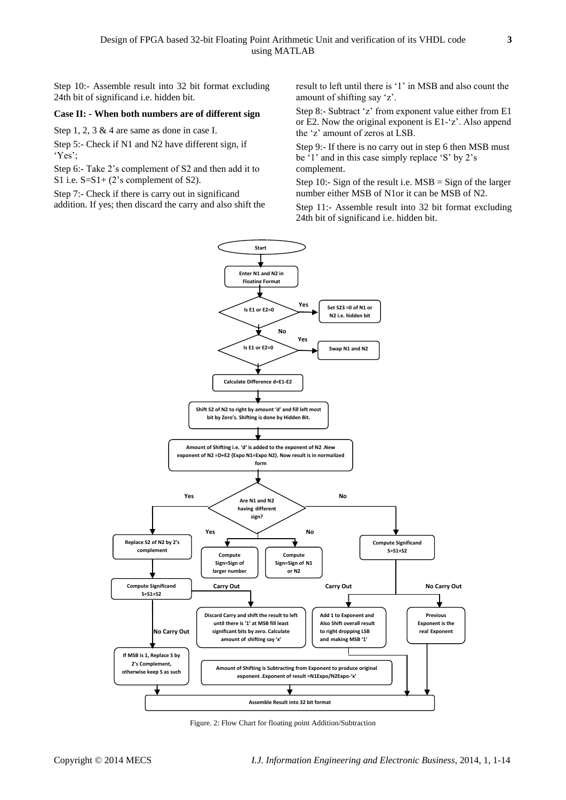Step 10:- Assemble result into 32 bit format excluding 24th bit of significand i.e. hidden bit.

#### **Case II: - When both numbers are of different sign**

Step 1, 2, 3 & 4 are same as done in case I.

Step 5:- Check if N1 and N2 have different sign, if "Yes";

Step 6:- Take 2"s complement of S2 and then add it to S1 i.e. S=S1+ (2's complement of S2).

Step 7:- Check if there is carry out in significand

addition. If yes; then discard the carry and also shift the

result to left until there is "1" in MSB and also count the amount of shifting say "z".

Step 8:- Subtract 'z' from exponent value either from E1 or E2. Now the original exponent is  $E1-z^2$ . Also append the "z" amount of zeros at LSB.

Step 9:- If there is no carry out in step 6 then MSB must be '1' and in this case simply replace 'S' by 2's complement.

Step 10:- Sign of the result i.e.  $MSB = Sign$  of the larger number either MSB of N1or it can be MSB of N2.

Step 11:- Assemble result into 32 bit format excluding 24th bit of significand i.e. hidden bit.



Figure. 2: Flow Chart for floating point Addition/Subtraction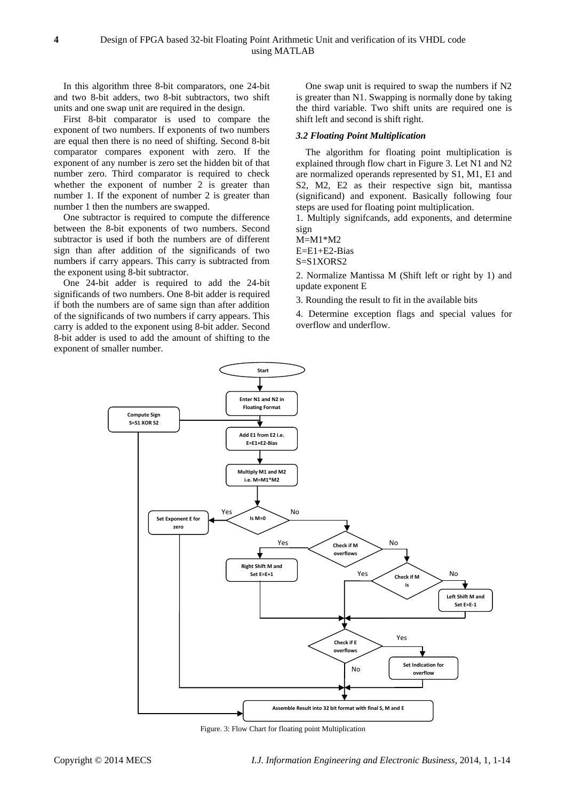In this algorithm three 8-bit comparators, one 24-bit and two 8-bit adders, two 8-bit subtractors, two shift units and one swap unit are required in the design.

First 8-bit comparator is used to compare the exponent of two numbers. If exponents of two numbers are equal then there is no need of shifting. Second 8-bit comparator compares exponent with zero. If the exponent of any number is zero set the hidden bit of that number zero. Third comparator is required to check whether the exponent of number 2 is greater than number 1. If the exponent of number 2 is greater than number 1 then the numbers are swapped.

One subtractor is required to compute the difference between the 8-bit exponents of two numbers. Second subtractor is used if both the numbers are of different sign than after addition of the significands of two numbers if carry appears. This carry is subtracted from the exponent using 8-bit subtractor.

One 24-bit adder is required to add the 24-bit significands of two numbers. One 8-bit adder is required if both the numbers are of same sign than after addition of the significands of two numbers if carry appears. This carry is added to the exponent using 8-bit adder. Second 8-bit adder is used to add the amount of shifting to the exponent of smaller number.

One swap unit is required to swap the numbers if N2 is greater than N1. Swapping is normally done by taking the third variable. Two shift units are required one is shift left and second is shift right.

#### *3.2 Floating Point Multiplication*

The algorithm for floating point multiplication is explained through flow chart in Figure 3. Let N1 and N2 are normalized operands represented by S1, M1, E1 and S2, M2, E2 as their respective sign bit, mantissa (significand) and exponent. Basically following four steps are used for floating point multiplication.

1. Multiply signifcands, add exponents, and determine sign

M=M1\*M2

E=E1+E2-Bias

S=S1XORS2

2. Normalize Mantissa M (Shift left or right by 1) and update exponent E

3. Rounding the result to fit in the available bits

4. Determine exception flags and special values for overflow and underflow.



Figure. 3: Flow Chart for floating point Multiplication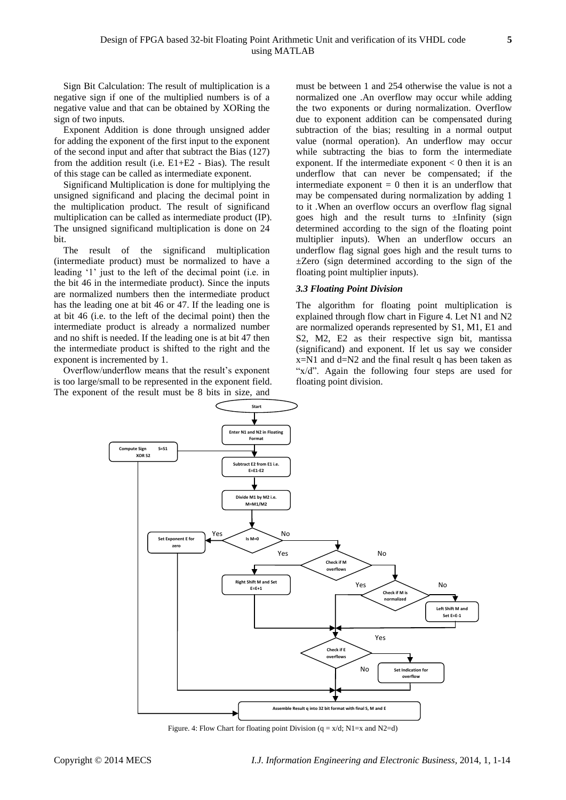Sign Bit Calculation: The result of multiplication is a negative sign if one of the multiplied numbers is of a negative value and that can be obtained by XORing the sign of two inputs.

Exponent Addition is done through unsigned adder for adding the exponent of the first input to the exponent of the second input and after that subtract the Bias (127) from the addition result (i.e. E1+E2 - Bias). The result of this stage can be called as intermediate exponent.

Significand Multiplication is done for multiplying the unsigned significand and placing the decimal point in the multiplication product. The result of significand multiplication can be called as intermediate product (IP). The unsigned significand multiplication is done on 24 bit.

The result of the significand multiplication (intermediate product) must be normalized to have a leading '1' just to the left of the decimal point (i.e. in the bit 46 in the intermediate product). Since the inputs are normalized numbers then the intermediate product has the leading one at bit 46 or 47. If the leading one is at bit 46 (i.e. to the left of the decimal point) then the intermediate product is already a normalized number and no shift is needed. If the leading one is at bit 47 then the intermediate product is shifted to the right and the exponent is incremented by 1.

Overflow/underflow means that the result's exponent is too large/small to be represented in the exponent field. The exponent of the result must be 8 bits in size, and

must be between 1 and 254 otherwise the value is not a normalized one .An overflow may occur while adding the two exponents or during normalization. Overflow due to exponent addition can be compensated during subtraction of the bias; resulting in a normal output value (normal operation). An underflow may occur while subtracting the bias to form the intermediate exponent. If the intermediate exponent  $< 0$  then it is an underflow that can never be compensated; if the intermediate exponent  $= 0$  then it is an underflow that may be compensated during normalization by adding 1 to it .When an overflow occurs an overflow flag signal goes high and the result turns to ±Infinity (sign determined according to the sign of the floating point multiplier inputs). When an underflow occurs an underflow flag signal goes high and the result turns to ±Zero (sign determined according to the sign of the floating point multiplier inputs).

## *3.3 Floating Point Division*

The algorithm for floating point multiplication is explained through flow chart in Figure 4. Let N1 and N2 are normalized operands represented by S1, M1, E1 and S2, M2, E2 as their respective sign bit, mantissa (significand) and exponent. If let us say we consider  $x=N1$  and  $d=N2$  and the final result q has been taken as "x/d". Again the following four steps are used for floating point division.



Figure. 4: Flow Chart for floating point Division  $(q = x/d; N1=x$  and  $N2=d)$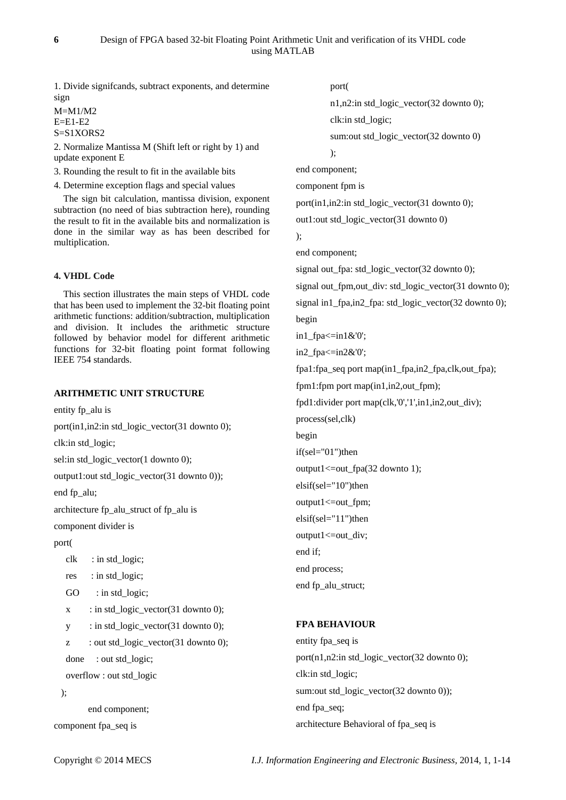1. Divide signifcands, subtract exponents, and determine sign

 $M=M1/M2$ E=E1-E2 S=S1XORS2

2. Normalize Mantissa M (Shift left or right by 1) and update exponent E

3. Rounding the result to fit in the available bits

4. Determine exception flags and special values

The sign bit calculation, mantissa division, exponent subtraction (no need of bias subtraction here), rounding the result to fit in the available bits and normalization is done in the similar way as has been described for multiplication.

# **4. VHDL Code**

This section illustrates the main steps of VHDL code that has been used to implement the 32-bit floating point arithmetic functions: addition/subtraction, multiplication and division. It includes the arithmetic structure followed by behavior model for different arithmetic functions for 32-bit floating point format following IEEE 754 standards.

# **ARITHMETIC UNIT STRUCTURE**

entity fp\_alu is

port(in1,in2:in std\_logic\_vector(31 downto 0);

clk:in std\_logic;

sel:in std\_logic\_vector(1 downto 0);

output1:out std\_logic\_vector(31 downto 0));

end fp\_alu;

architecture fp\_alu\_struct of fp\_alu is

component divider is

port(

```
clk : in std logic;
```
res : in std\_logic;

```
GO : in std logic;
```
 $x$  : in std\_logic\_vector(31 downto 0);

```
y : in std_logic_vector(31 downto 0);
```
 $z$  : out std logic vector(31 downto 0); done : out std\_logic;

```
 overflow : out std_logic
```
);

end component; component fpa\_seq is

port(

n1,n2:in std\_logic\_vector(32 downto 0); clk:in std\_logic;

sum:out std\_logic\_vector(32 downto 0)

```
);
```
end component;

component fpm is

port(in1,in2:in std\_logic\_vector(31 downto 0);

out1:out std\_logic\_vector(31 downto 0)

);

end component;

signal out fpa: std\_logic\_vector $(32$  downto 0); signal out\_fpm,out\_div: std\_logic\_vector(31 downto 0); signal in1\_fpa,in2\_fpa: std\_logic\_vector(32 downto 0);

begin

in1\_fpa<=in1&'0';

in2  $fpa \leq in2&0$ ';

fpa1:fpa\_seq port map(in1\_fpa,in2\_fpa,clk,out\_fpa);

fpm1:fpm port map(in1,in2,out\_fpm);

fpd1:divider port map(clk,'0','1',in1,in2,out\_div);

process(sel,clk)

begin

if(sel="01")then

output1<=out\_fpa(32 downto 1);

elsif(sel="10")then

output1<=out\_fpm;

elsif(sel="11")then

output1<=out\_div; end if;

end process;

end fp\_alu\_struct;

# **FPA BEHAVIOUR**

entity fpa\_seq is port(n1,n2:in std\_logic\_vector(32 downto 0); clk:in std\_logic; sum:out std\_logic\_vector(32 downto 0)); end fpa\_seq; architecture Behavioral of fpa\_seq is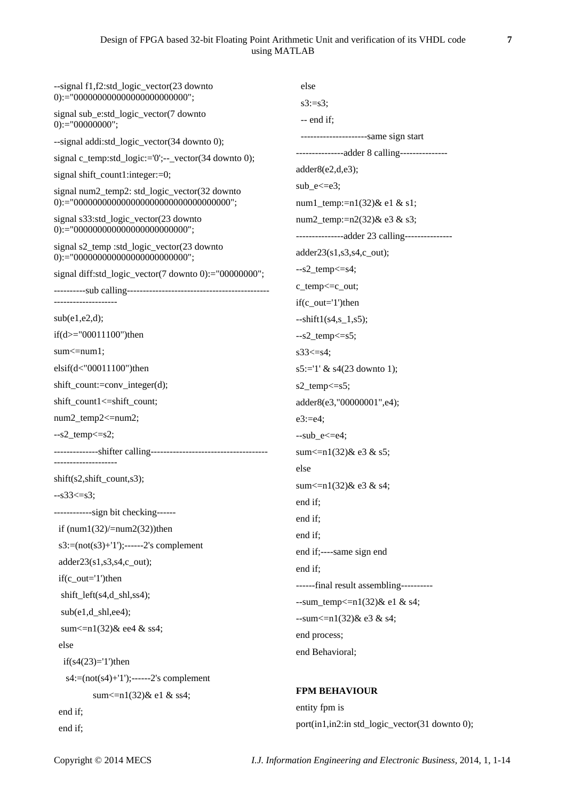# Design of FPGA based 32-bit Floating Point Arithmetic Unit and verification of its VHDL code **7** using MATLAB

| --signal f1,f2:std_logic_vector(23 downto<br>$0$ ):="000000000000000000000000000";  | else                                                                          |  |  |
|-------------------------------------------------------------------------------------|-------------------------------------------------------------------------------|--|--|
| signal sub_e:std_logic_vector(7 downto<br>$0$ :="00000000";                         | $s3:=s3;$<br>$-$ end if;                                                      |  |  |
| --signal addi:std_logic_vector(34 downto 0);                                        | -----------------------same sign start                                        |  |  |
| signal c_temp:std_logic:='0';--_vector(34 downto 0);                                | ---------------adder 8 calling---------------                                 |  |  |
| signal shift_count1:integer:=0;                                                     | adder8(e2,d,e3);                                                              |  |  |
| signal num2_temp2: std_logic_vector(32 downto                                       | $sub_e \ll = e3$ ;                                                            |  |  |
|                                                                                     | num1_temp:=n1(32)& e1 & s1;                                                   |  |  |
| signal s33:std_logic_vector(23 downto<br>$0$ ):="000000000000000000000000000";      | num2_temp:=n2(32)& e3 & s3;<br>---------------adder 23 calling--------------- |  |  |
| signal s2_temp :std_logic_vector(23 downto<br>$0$ ):="000000000000000000000000000"; | $adder23(s1,s3,s4,c_out);$                                                    |  |  |
| signal diff:std_logic_vector(7 downto 0):="00000000";                               | $-s2$ _temp $\leq$ =s4;                                                       |  |  |
|                                                                                     | c_temp<=c_out;                                                                |  |  |
| --------------------                                                                | $if(c_out='1')$ then                                                          |  |  |
| sub(e1,e2,d);                                                                       | $-shif1(s4,s_1,s5);$                                                          |  |  |
| if(d>="00011100")then                                                               | $-s2$ _temp $\leq$ =s5;                                                       |  |  |
| $sum < = num1$ ;                                                                    | $s33 \leq s4$ ;                                                               |  |  |
| $elsif(d<"00011100")$ then                                                          | $s5:=1' \& s4(23$ downto 1);                                                  |  |  |
| shift_count:=conv_integer(d);                                                       | $s2$ _temp $\leq$ = $s5$ ;                                                    |  |  |
| shift_count1<=shift_count;                                                          | adder8(e3,"00000001",e4);                                                     |  |  |
| num2_temp2<=num2;                                                                   | $e3:=e4;$                                                                     |  |  |
| $-s2$ _temp $\leq$ =s2;                                                             | $-sub_e \leq -e4$ ;                                                           |  |  |
|                                                                                     | sum $\leq$ n1(32) & e3 & s5;                                                  |  |  |
| --------------------                                                                | else                                                                          |  |  |
| $shift(s2, shift_count, s3);$                                                       | sum $\leq$ n1(32) & e3 & s4;                                                  |  |  |
| $-s33 \leq s3$ ;                                                                    | end if;                                                                       |  |  |
| ------------sign bit checking------                                                 | end if;                                                                       |  |  |
| if $(num1(32)/=num2(32))$ then                                                      | end if;                                                                       |  |  |
| $s3:=(not(s3)+1');---2's complement$                                                | end if;----same sign end                                                      |  |  |
| $adder23(s1,s3,s4,c_out);$                                                          | end if;                                                                       |  |  |
| $if(c_out='1')$ then                                                                | ------final result assembling-----------                                      |  |  |
| shift_left(s4,d_shl,ss4);                                                           | --sum_temp<= $n1(32)$ & e1 & s4;                                              |  |  |
| $sub(e1,d\_shl,ee4);$                                                               | $-sum < = n1(32)$ & e3 & s4;                                                  |  |  |
| sum <= $n1(32)$ & ee4 & ss4;                                                        | end process;                                                                  |  |  |
| else                                                                                | end Behavioral;                                                               |  |  |
| $if(s4(23)=1')$ then                                                                |                                                                               |  |  |
| $s4:=(not(s4)+1'); \n--- 2's complement$                                            |                                                                               |  |  |
| sum $\leq$ n1(32) & e1 & ss4;                                                       | <b>FPM BEHAVIOUR</b>                                                          |  |  |
| end if;                                                                             | entity fpm is                                                                 |  |  |
| end if;                                                                             | port(in1,in2:in std_logic_vector(31 downto 0);                                |  |  |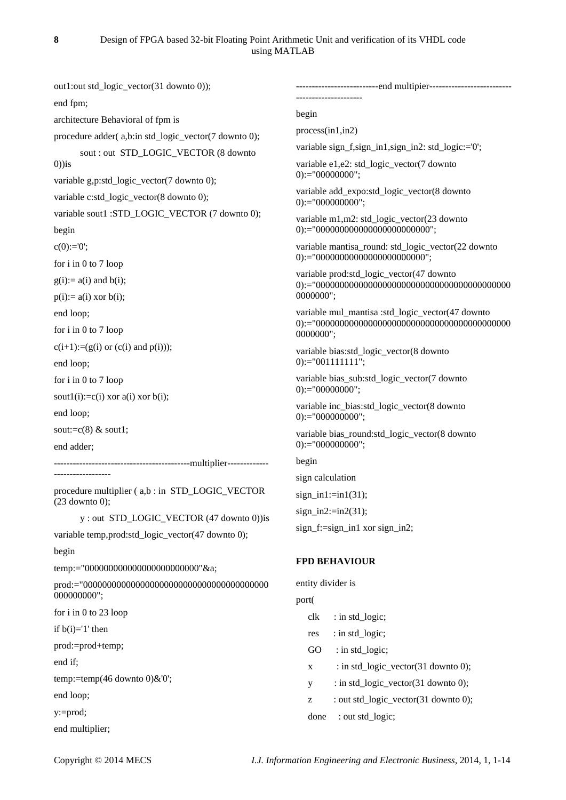out1:out std\_logic\_vector(31 downto 0)); end fpm; architecture Behavioral of fpm is procedure adder( a,b:in std\_logic\_vector(7 downto 0); sout : out STD\_LOGIC\_VECTOR (8 downto  $(0)$ ) is variable g,p:std\_logic\_vector(7 downto 0); variable c:std\_logic\_vector(8 downto 0); variable sout1 :STD\_LOGIC\_VECTOR (7 downto 0); begin  $c(0) := 0$ for i in 0 to 7 loop  $g(i):= a(i)$  and  $b(i)$ ;  $p(i) := a(i)$  xor  $b(i)$ ; end loop; for i in 0 to 7 loop  $c(i+1):=(g(i) \text{ or } (c(i) \text{ and } p(i)))$ ; end loop; for i in 0 to 7 loop sout1(i):=c(i) xor a(i) xor b(i); end loop; sout: $= c(8)$  & sout1; end adder; -------------------------------------------multiplier------------- ----------------- procedure multiplier ( a,b : in STD\_LOGIC\_VECTOR (23 downto 0); y : out STD\_LOGIC\_VECTOR (47 downto 0))is variable temp,prod:std\_logic\_vector(47 downto 0); begin temp:="000000000000000000000000"&a; prod:="000000000000000000000000000000000000000 000000000"; for i in 0 to 23 loop if  $b(i)=1'$  then prod:=prod+temp; end if; temp:=temp(46 downto 0)&'0'; end loop; y:=prod; end multiplier; ---------------------------end multipier---------------------------------------------- begin process(in1,in2) variable sign\_f,sign\_in1,sign\_in2: std\_logic:='0'; variable e1,e2: std\_logic\_vector(7 downto  $0$ :="00000000"; variable add\_expo:std\_logic\_vector(8 downto  $0$ :="000000000"; variable m1,m2: std\_logic\_vector(23 downto 0):="000000000000000000000000"; variable mantisa\_round: std\_logic\_vector(22 downto 0):="00000000000000000000000"; variable prod:std\_logic\_vector(47 downto 0):="00000000000000000000000000000000000000000 0000000"; variable mul\_mantisa :std\_logic\_vector(47 downto 0):="00000000000000000000000000000000000000000 0000000"; variable bias:std\_logic\_vector(8 downto  $0$ :="001111111"; variable bias\_sub:std\_logic\_vector(7 downto  $0$ :="00000000"; variable inc\_bias:std\_logic\_vector(8 downto  $0$ :="000000000"; variable bias\_round:std\_logic\_vector(8 downto  $0$ :="000000000"; begin sign calculation sign in1: $=$ in1(31);  $sign_in2:=in2(31);$ sign  $f:=$ sign in1 xor sign in2: **FPD BEHAVIOUR** entity divider is port( clk : in std\_logic; res : in std\_logic; GO : in std logic;  $x$  : in std\_logic\_vector(31 downto 0); y : in std\_logic\_vector(31 downto 0); z : out std\_logic\_vector(31 downto 0); done : out std\_logic;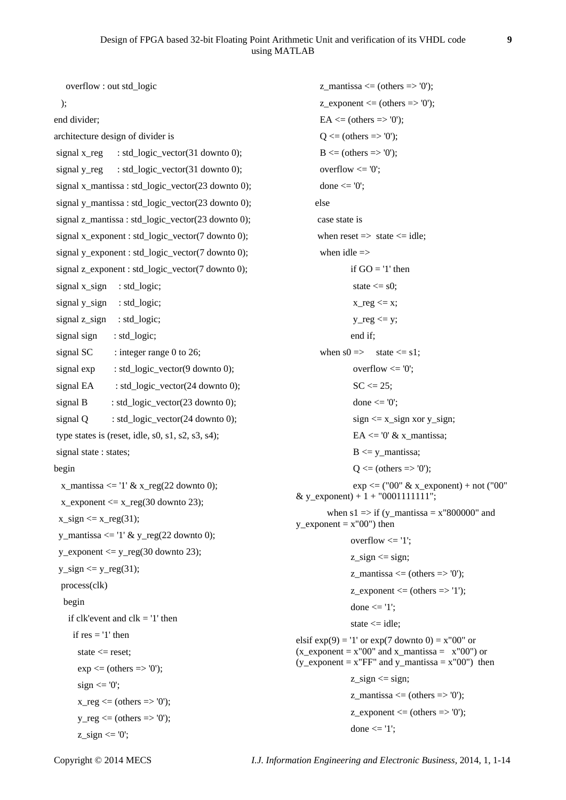```
 overflow : out std_logic
   );
end divider;
architecture design of divider is
signal x_reg : std_logic_vector(31 downto 0);
signal y_reg : std_logic_vector(31 downto 0);
signal x_mantissa : std_logic_vector(23 downto 0); 
signal y_mantissa : std_logic_vector(23 downto 0); 
signal z_mantissa : std_logic_vector(23 downto 0);
signal x_ exponent : std_logic_vector(7 downto 0);
signal y_exponent : std_logic_vector(7 downto 0); 
signal z exponent : std_logic_vector(7 downto 0);
signal x_sign : std_logic;
signal y_sign : std_logic;
signal z sign : std logic;
signal sign : std_logic;
signal SC \therefore integer range 0 to 26;
signal exp : std_logic_vector(9 downto 0);
signal EA : std_logic_vector(24 downto 0);
signal B : std logic vector(23 downto 0);
signal Q : std_logic_vector(24 downto 0);
type states is (reset, idle, s0, s1, s2, s3, s4);
signal state: states;
begin
  x_mantissa <= '1' \& x_reg(22 downto 0);
  x_exponent \leq x_reg(30 downto 23);
 x_sign \leq x_reg(31);
 y_mantissa \leq '1' & y_reg(22 downto 0);
 y_exponent \leq y_reg(30 downto 23);
 y_sign \le y_reg(31);
   process(clk)
   begin
    if clk'event and clk = '1' then
     if res = '1' then
      state \leq reset:
      exp \le (others \Rightarrow '0');sign \leq 0:
      x reg \leq (others \Rightarrow '0');
      y_{\text{reg}} \leq (others \Rightarrow '0');z sign \leq 0';
```
 $z$ \_mantissa  $\leq$  (others  $\Rightarrow$  '0'); z exponent  $\leq$  (others  $\Rightarrow$  '0');  $EA \leq (others \Rightarrow '0')$ ;  $Q \leq (others \Rightarrow '0')$ ;  $B \leq (others \Rightarrow '0')$ ; overflow  $\leq 0$ : done  $\leq$  '0'; else case state is when reset  $\Rightarrow$  state  $\leq$  idle; when idle  $\Rightarrow$ if  $GO = '1'$  then state  $\leq$  s0;  $x_{reg} \leq x;$  $y_{\text{reg}} \leq y$ ; end if; when  $s0 \implies$  state  $\leq s1$ : overflow  $\leq 0$ ;  $SC \le 25$ ; done  $\leq$  '0':  $sign \leq x$ \_sign xor y\_sign;  $EA \leq 0' \& x$ \_mantissa;  $B \le y$  mantissa;  $Q \leq (others \Rightarrow '0')$ ;  $\exp \leftarrow (0^0 \& x \text{ exponent}) + \text{not}$  ("00") & v\_exponent) +  $1 + "0001111111"$ ; when  $s1 \Rightarrow if (y_ {matrix} = x"800000" and$  $y$ \_exponent =  $x''00'$ ) then overflow  $\leq 1$ :  $z$ \_sign  $\le$  sign; z mantissa  $\leq$  (others  $\Rightarrow$  '0'); z exponent  $\leq$  (others  $\Rightarrow$  '1'); done <= '1'; state  $\le$  idle; elsif  $exp(9) = 1'$  or  $exp(7 \text{ down to } 0) = x''00''$  or  $(x$ \_exponent = x"00" and x\_mantissa =  $x$ "00") or  $(y_{exponent} = x''FF''$  and  $y_{ex}$  mantissa =  $x''00''$  then z  $sign \leq sign$ ; z mantissa  $\leq$  (others  $\Rightarrow$  '0');  $z$ \_exponent  $\leq$  (others  $\Rightarrow$  '0'); done  $\leq$ ='1':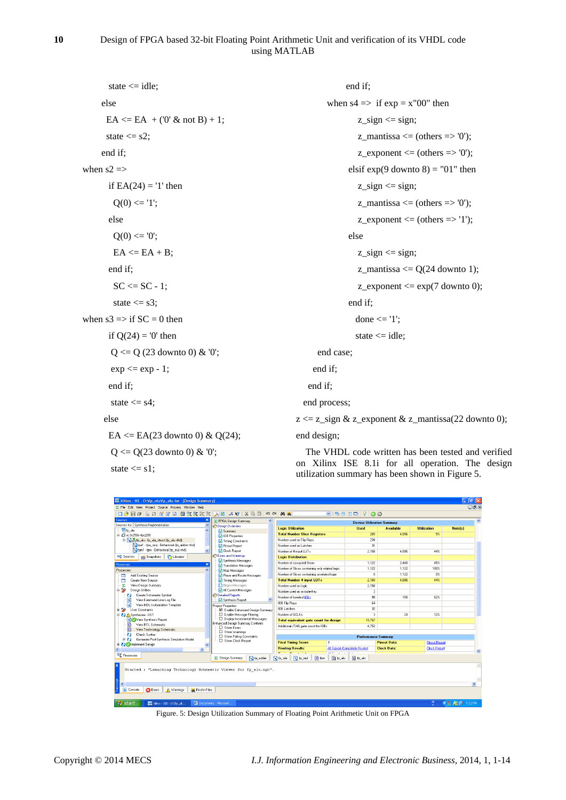# **10** Design of FPGA based 32-bit Floating Point Arithmetic Unit and verification of its VHDL code using MATLAB

| state $\le$ idle;                         | end if;                                                                                            |
|-------------------------------------------|----------------------------------------------------------------------------------------------------|
| else                                      | when $s4 \implies$ if $exp = x''00''$ then                                                         |
| $EA \leq EA + (0' \& \text{not } B) + 1;$ | $z$ _sign $\leq$ sign;                                                                             |
| state $\leq$ s2;                          | $z$ _mantissa <= (others => '0');                                                                  |
| end if;                                   | $z$ _exponent <= (others => '0');                                                                  |
| when $s2 \Rightarrow$                     | elsif $exp(9$ downto $8) = "01"$ then                                                              |
| if $EA(24) = '1'$ then                    | $z$ _sign $\le$ sign;                                                                              |
| $Q(0) \leq 1$ ;                           | $z$ _mantissa <= (others => '0');                                                                  |
| else                                      | $z$ _exponent <= (others => '1');                                                                  |
| $Q(0) \leq 0$                             | else                                                                                               |
| $EA \leq EA + B$ ;                        | $z$ _sign $\le$ sign;                                                                              |
| end if;                                   | z_mantissa $\leq$ Q(24 downto 1);                                                                  |
| $SC \leq SC - 1$ ;                        | $z$ _exponent $\leq$ exp(7 downto 0);                                                              |
| state $\leq$ s3;                          | end if;                                                                                            |
| when $s3 \implies$ if $SC = 0$ then       | done $\le$ $\le$ $\frac{1}{3}$ ;                                                                   |
| if $Q(24) = 0'$ then                      | state $\le$ idle;                                                                                  |
| $Q \le Q$ (23 downto 0) & '0';            | end case;                                                                                          |
| $\exp \leq \exp -1$ ;                     | end if;                                                                                            |
| end if;                                   | end if;                                                                                            |
| state $\leq$ s4;                          | end process;                                                                                       |
| else                                      | $z \le z$ _sign & z_exponent & z_mantissa(22 downto 0);                                            |
| EA <= EA(23 downto 0) & Q(24);            | end design;                                                                                        |
| $Q \le Q(23$ downto 0) & '0';             | The VHDL code written has been tested and verified                                                 |
| state $\le$ s1;                           | on Xilinx ISE 8.1 for all operation. The design<br>utilization summary has been shown in Figure 5. |
|                                           |                                                                                                    |



Figure. 5: Design Utilization Summary of Floating Point Arithmetic Unit on FPGA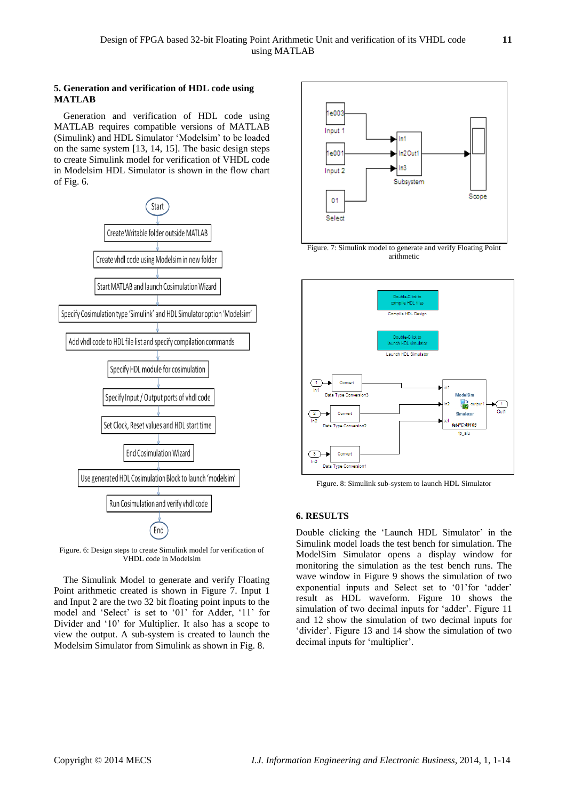## **5. Generation and verification of HDL code using MATLAB**

Generation and verification of HDL code using MATLAB requires compatible versions of MATLAB (Simulink) and HDL Simulator "Modelsim" to be loaded on the same system [13, 14, 15]. The basic design steps to create Simulink model for verification of VHDL code in Modelsim HDL Simulator is shown in the flow chart of Fig. 6.



Figure. 6: Design steps to create Simulink model for verification of VHDL code in Modelsim

The Simulink Model to generate and verify Floating Point arithmetic created is shown in Figure 7. Input 1 and Input 2 are the two 32 bit floating point inputs to the model and 'Select' is set to '01' for Adder, '11' for Divider and '10' for Multiplier. It also has a scope to view the output. A sub-system is created to launch the Modelsim Simulator from Simulink as shown in Fig. 8.





Figure. 8: Simulink sub-system to launch HDL Simulator

# **6. RESULTS**

Double clicking the 'Launch HDL Simulator' in the Simulink model loads the test bench for simulation. The ModelSim Simulator opens a display window for monitoring the simulation as the test bench runs. The wave window in Figure 9 shows the simulation of two exponential inputs and Select set to "01"for "adder" result as HDL waveform. Figure 10 shows the simulation of two decimal inputs for 'adder'. Figure 11 and 12 show the simulation of two decimal inputs for "divider". Figure 13 and 14 show the simulation of two decimal inputs for "multiplier".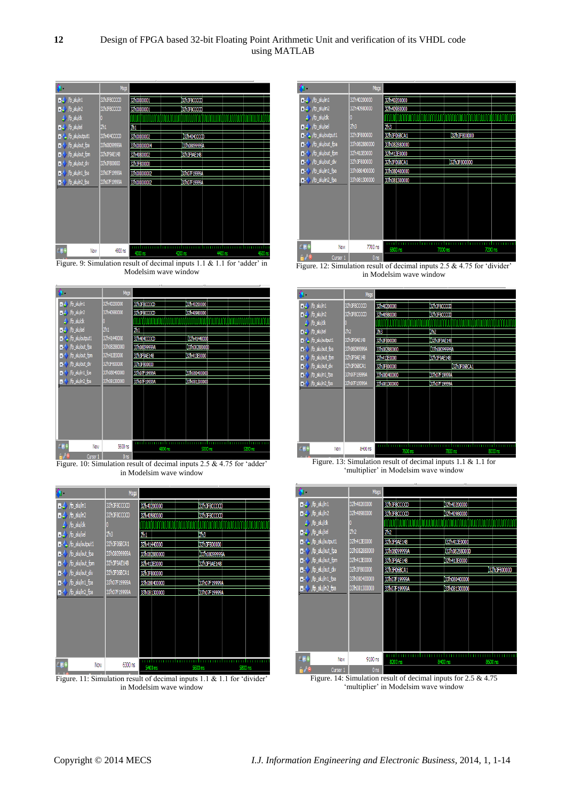

Figure. 9: Simulation result of decimal inputs 1.1 & 1.1 for 'adder' in Modelsim wave window

|                               | Msgs            |                    |                    |         |  |
|-------------------------------|-----------------|--------------------|--------------------|---------|--|
| <b>B-4</b> /fp_alu/in1        | 32h40200000     | 32h3F8CCCCD        | 32h40200000        |         |  |
| $\mathbb{H}$ / $/p$ alu/in2   | 32h40980000     | 32h3F8CCCCD        | 32h40980000        |         |  |
| $\rightarrow$ /fp_alu/dk      |                 |                    |                    |         |  |
| $\blacksquare$ /fp_alu/sel    | 2 <sub>h1</sub> | 2h1                |                    |         |  |
| - / /fp_alu/output1           | 32h41440000     | 32h404CCCCD        | 132h41440000       |         |  |
| B- / fp_alu/out_fpa           | 33h082880000    | 33h08099999A       | 33h082880000       |         |  |
| ■- / /fp_alu/out_fpm          | 32h413E0000     | 32h3F9AE148        | 32h413E0000        |         |  |
| B- / fp_alu/out_div           | 32h3F800000     | 32h3F800000        |                    |         |  |
| $\leftarrow$ /fp_alu/in1_fpa  | 33h080400000    | 33h07F19999A       | 33h080400000       |         |  |
| $\rightarrow$ /fp_alu/in2_fpa | 33h081300000    | 33h07F19999A       | 33h081300000       |         |  |
|                               |                 |                    |                    |         |  |
|                               |                 |                    |                    |         |  |
|                               |                 |                    |                    |         |  |
|                               |                 |                    |                    |         |  |
|                               |                 |                    |                    |         |  |
|                               |                 |                    |                    |         |  |
| LP<br>Now                     | 5600 ns         |                    |                    |         |  |
| AZ 6<br><b>Ourson 1</b>       | 0 <sub>ns</sub> | 4800 <sub>ns</sub> | 5000 <sub>ns</sub> | 5200 ns |  |

Figure. 10: Simulation result of decimal inputs  $2.5 \& 4.75$  for 'adder' in Modelsim wave window

|                                    | Msgs            |              |               |                    |
|------------------------------------|-----------------|--------------|---------------|--------------------|
| D-4 /fp_alu/in1                    | 32h3F8CCCCD     | 32h40200000  | 32h3F8CCCCD   |                    |
| $\blacksquare$ /fp_alu/in2         | 32h3F8CCCCD     | 32h40980000  | 32h3F8CCCCD   |                    |
| / /fp_alu/dk                       |                 |              |               |                    |
| $\blacksquare$ /fp_alu/sel         | 2 <sub>h3</sub> | 2h1          | 2h3           |                    |
| - /p_alu/output1                   | 32h3F06BCA1     | 32h41440000  | 32h3F800000   |                    |
| H-◆ /fp_alu/out_fpa                | 33h08099999A    | 33h082880000 | 133h08099999A |                    |
| ■ / /fp_alu/out_fpm                | 32h3F9AE148     | 32h413E0000  | 32h3F9AE148   |                    |
| /fp_alu/out_div<br>Ŧ               | 32h3F06BCA1     | 32h3F800000  |               |                    |
| $\rightarrow$ /fp_alu/in1_fpa<br>Ŧ | 33h07F19999A    | 33h080400000 | 33h07F19999A  |                    |
| /fp_alu/in2_fpa<br>⊷               | 33h07F19999A    | 33h081300000 | 33h07F19999A  |                    |
|                                    |                 |              |               |                    |
|                                    |                 |              |               |                    |
|                                    |                 |              |               |                    |
|                                    |                 |              |               |                    |
|                                    |                 |              |               |                    |
|                                    |                 |              |               |                    |
| $\sqrt{2}$ 6<br>Now                | 6300 ns         | 5400 ns      | 5600 ns       | 5800 <sub>ns</sub> |

Figure. 11: Simulation result of decimal inputs 1.1 & 1.1 for 'divider' in Modelsim wave window



Figure. 12: Simulation result of decimal inputs  $2.5 \& 4.75$  for 'divider" in Modelsim wave window



Figure. 13: Simulation result of decimal inputs 1.1 & 1.1 for 'multiplier' in Modelsim wave window

|                                                               | <b>Msgs</b>     |               |                               |
|---------------------------------------------------------------|-----------------|---------------|-------------------------------|
| $\blacksquare$ / $\lozenge$ / $\blacksquare$ / $\blacksquare$ | 32h40200000     | 32h3F8CCCCD   | 32h40200000                   |
| $\blacksquare\blacktriangle$ /fp_alu/in2                      | 32h40980000     | 32h3F&CCCCD   | 32h40980000                   |
| http_alu/dk                                                   |                 |               |                               |
| $\blacksquare$ /fp_alu/sel                                    | 2 <sub>h2</sub> | 2h2           |                               |
| Fp_alu/output1<br>Ŧ.                                          | 32h413E0000     | 32h3F9AE148   | 32h413E0000                   |
| /fp_alu/out_fpa<br>$\overline{+}$                             | 33h082880000    | 33h08099999A  | 33h082880000                  |
| /fp_alu/out_fpm<br>$\overline{+}$                             | 32h413E0000     | 32h3F9AE148   | 32h413E0000                   |
| /fp_alu/out_div<br>$\ddot{}$                                  | 32h3F800000     | 32h3F06BCA1   | 32h3F800000                   |
| /fp_alu/in1_fpa<br>$\overline{1}$                             | 33h080400000    | 33h07F19999A  | 33h080400000                  |
| /fp_alu/in2_fpa<br>Ŧ                                          | 33h081300000    | 33h07 #19999A | 33h081300000                  |
|                                                               |                 |               |                               |
|                                                               |                 |               |                               |
|                                                               |                 |               |                               |
|                                                               |                 |               |                               |
|                                                               |                 |               |                               |
|                                                               |                 |               |                               |
| $L = 6$<br>Now                                                | 9100 ns         | 8200 ns       | 8400 ns<br>8600 <sub>ns</sub> |
| Cursor 1                                                      | 0 <sub>ns</sub> |               |                               |

Figure. 14: Simulation result of decimal inputs for 2.5 & 4.75 'multiplier' in Modelsim wave window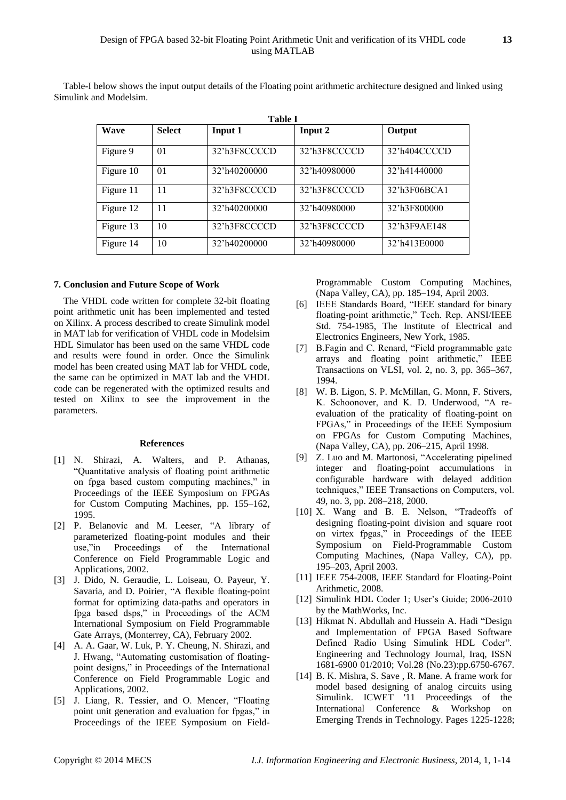Table-I below shows the input output details of the Floating point arithmetic architecture designed and linked using Simulink and Modelsim.

| Table I   |                |              |              |              |  |
|-----------|----------------|--------------|--------------|--------------|--|
| Wave      | <b>Select</b>  | Input 1      | Input 2      | Output       |  |
| Figure 9  | 0 <sub>1</sub> | 32'h3F8CCCCD | 32'h3F8CCCCD | 32'h404CCCCD |  |
| Figure 10 | 01             | 32'h40200000 | 32'h40980000 | 32'h41440000 |  |
| Figure 11 | 11             | 32'h3F8CCCCD | 32'h3F8CCCCD | 32'h3F06BCA1 |  |
| Figure 12 | 11             | 32'h40200000 | 32'h40980000 | 32'h3F800000 |  |
| Figure 13 | 10             | 32'h3F8CCCCD | 32'h3F8CCCCD | 32'h3F9AE148 |  |
| Figure 14 | 10             | 32'h40200000 | 32'h40980000 | 32'h413E0000 |  |

#### **7. Conclusion and Future Scope of Work**

The VHDL code written for complete 32-bit floating point arithmetic unit has been implemented and tested on Xilinx. A process described to create Simulink model in MAT lab for verification of VHDL code in Modelsim HDL Simulator has been used on the same VHDL code and results were found in order. Once the Simulink model has been created using MAT lab for VHDL code, the same can be optimized in MAT lab and the VHDL code can be regenerated with the optimized results and tested on Xilinx to see the improvement in the parameters.

## **References**

- [1] N. Shirazi, A. Walters, and P. Athanas, "Quantitative analysis of floating point arithmetic on fpga based custom computing machines," in Proceedings of the IEEE Symposium on FPGAs for Custom Computing Machines, pp. 155–162, 1995.
- [2] P. Belanovic and M. Leeser, "A library of parameterized floating-point modules and their use,"in Proceedings of the International Conference on Field Programmable Logic and Applications, 2002.
- [3] J. Dido, N. Geraudie, L. Loiseau, O. Payeur, Y. Savaria, and D. Poirier, "A flexible floating-point format for optimizing data-paths and operators in fpga based dsps," in Proceedings of the ACM International Symposium on Field Programmable Gate Arrays, (Monterrey, CA), February 2002.
- [4] A. A. Gaar, W. Luk, P. Y. Cheung, N. Shirazi, and J. Hwang, "Automating customisation of floatingpoint designs," in Proceedings of the International Conference on Field Programmable Logic and Applications, 2002.
- [5] J. Liang, R. Tessier, and O. Mencer, "Floating point unit generation and evaluation for fpgas," in Proceedings of the IEEE Symposium on Field-

Programmable Custom Computing Machines, (Napa Valley, CA), pp. 185–194, April 2003.

- [6] IEEE Standards Board, "IEEE standard for binary floating-point arithmetic," Tech. Rep. ANSI/IEEE Std. 754-1985, The Institute of Electrical and Electronics Engineers, New York, 1985.
- [7] B.Fagin and C. Renard, "Field programmable gate arrays and floating point arithmetic," IEEE Transactions on VLSI, vol. 2, no. 3, pp. 365–367, 1994.
- [8] W. B. Ligon, S. P. McMillan, G. Monn, F. Stivers, K. Schoonover, and K. D. Underwood, "A reevaluation of the praticality of floating-point on FPGAs," in Proceedings of the IEEE Symposium on FPGAs for Custom Computing Machines, (Napa Valley, CA), pp. 206–215, April 1998.
- [9] Z. Luo and M. Martonosi, "Accelerating pipelined integer and floating-point accumulations in configurable hardware with delayed addition techniques," IEEE Transactions on Computers, vol. 49, no. 3, pp. 208–218, 2000.
- [10] X. Wang and B. E. Nelson, "Tradeoffs of designing floating-point division and square root on virtex fpgas," in Proceedings of the IEEE Symposium on Field-Programmable Custom Computing Machines, (Napa Valley, CA), pp. 195–203, April 2003.
- [11] IEEE 754-2008, IEEE Standard for Floating-Point Arithmetic, 2008.
- [12] Simulink HDL Coder 1; User's Guide; 2006-2010 by the MathWorks, Inc.
- [13] [Hikmat N. Abdullah and Hussein A. Hadi](http://www.researchgate.net/researcher/2005572085_Hikmat_N_Abdullah_and_Hussein_A_Hadi/) "Design and Implementation of FPGA Based Software Defined Radio Using Simulink HDL Coder". Engineering and Technology Journal, Iraq, ISSN 1681-6900 01/2010; Vol.28 (No.23):pp.6750-6767.
- [14] [B. K. Mishra,](http://dl.acm.org/author_page.cfm?id=81416604155&coll=DL&dl=ACM&trk=0&cfid=311977209&cftoken=56120389) [S. Save](http://dl.acm.org/author_page.cfm?id=81456633757&coll=DL&dl=ACM&trk=0&cfid=311977209&cftoken=56120389), [R. Mane.](http://dl.acm.org/author_page.cfm?id=81485655580&coll=DL&dl=ACM&trk=0&cfid=311977209&cftoken=56120389) A frame work for model based designing of analog circuits using Simulink. [ICWET '11](http://www.icwet.co.cc/) Proceedings of the International Conference & Workshop on Emerging Trends in Technology. Pages 1225-1228;